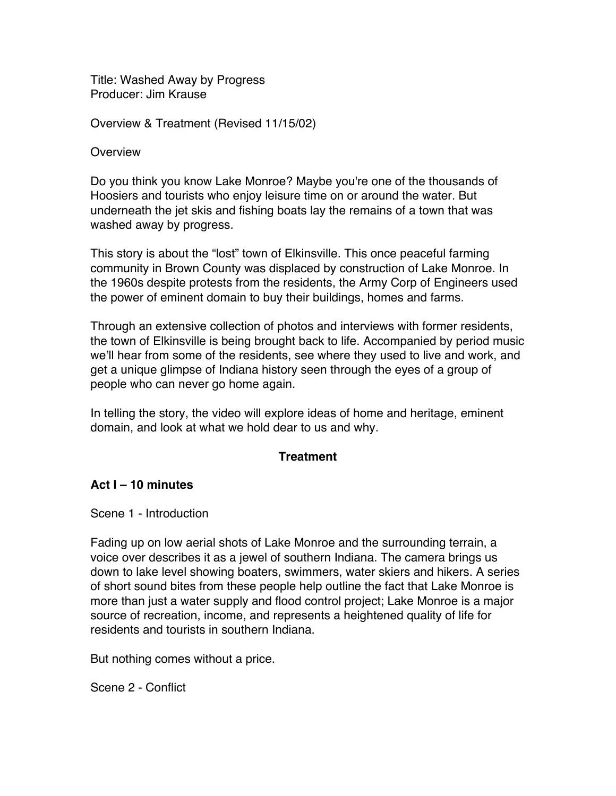Title: Washed Away by Progress Producer: Jim Krause

Overview & Treatment (Revised 11/15/02)

**Overview** 

Do you think you know Lake Monroe? Maybe you're one of the thousands of Hoosiers and tourists who enjoy leisure time on or around the water. But underneath the jet skis and fishing boats lay the remains of a town that was washed away by progress.

This story is about the "lost" town of Elkinsville. This once peaceful farming community in Brown County was displaced by construction of Lake Monroe. In the 1960s despite protests from the residents, the Army Corp of Engineers used the power of eminent domain to buy their buildings, homes and farms.

Through an extensive collection of photos and interviews with former residents, the town of Elkinsville is being brought back to life. Accompanied by period music we'll hear from some of the residents, see where they used to live and work, and get a unique glimpse of Indiana history seen through the eyes of a group of people who can never go home again.

In telling the story, the video will explore ideas of home and heritage, eminent domain, and look at what we hold dear to us and why.

## **Treatment**

### **Act I – 10 minutes**

Scene 1 - Introduction

Fading up on low aerial shots of Lake Monroe and the surrounding terrain, a voice over describes it as a jewel of southern Indiana. The camera brings us down to lake level showing boaters, swimmers, water skiers and hikers. A series of short sound bites from these people help outline the fact that Lake Monroe is more than just a water supply and flood control project; Lake Monroe is a major source of recreation, income, and represents a heightened quality of life for residents and tourists in southern Indiana.

But nothing comes without a price.

Scene 2 - Conflict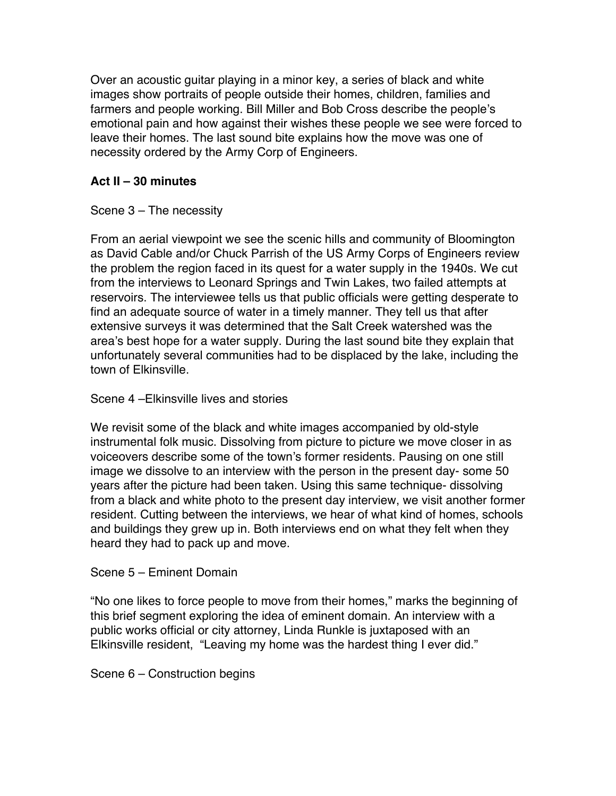Over an acoustic guitar playing in a minor key, a series of black and white images show portraits of people outside their homes, children, families and farmers and people working. Bill Miller and Bob Cross describe the people's emotional pain and how against their wishes these people we see were forced to leave their homes. The last sound bite explains how the move was one of necessity ordered by the Army Corp of Engineers.

# **Act II – 30 minutes**

## Scene 3 – The necessity

From an aerial viewpoint we see the scenic hills and community of Bloomington as David Cable and/or Chuck Parrish of the US Army Corps of Engineers review the problem the region faced in its quest for a water supply in the 1940s. We cut from the interviews to Leonard Springs and Twin Lakes, two failed attempts at reservoirs. The interviewee tells us that public officials were getting desperate to find an adequate source of water in a timely manner. They tell us that after extensive surveys it was determined that the Salt Creek watershed was the area's best hope for a water supply. During the last sound bite they explain that unfortunately several communities had to be displaced by the lake, including the town of Elkinsville.

### Scene 4 –Elkinsville lives and stories

We revisit some of the black and white images accompanied by old-style instrumental folk music. Dissolving from picture to picture we move closer in as voiceovers describe some of the town's former residents. Pausing on one still image we dissolve to an interview with the person in the present day- some 50 years after the picture had been taken. Using this same technique- dissolving from a black and white photo to the present day interview, we visit another former resident. Cutting between the interviews, we hear of what kind of homes, schools and buildings they grew up in. Both interviews end on what they felt when they heard they had to pack up and move.

### Scene 5 – Eminent Domain

"No one likes to force people to move from their homes," marks the beginning of this brief segment exploring the idea of eminent domain. An interview with a public works official or city attorney, Linda Runkle is juxtaposed with an Elkinsville resident, "Leaving my home was the hardest thing I ever did."

Scene 6 – Construction begins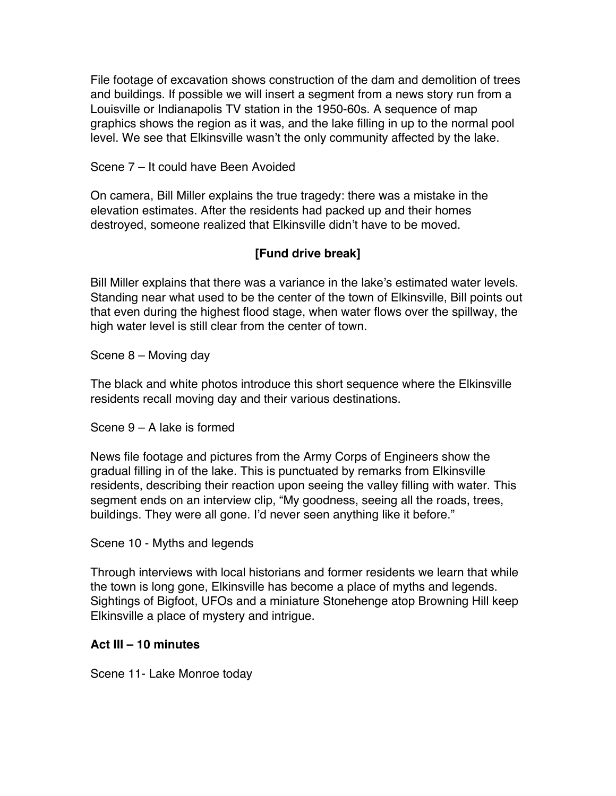File footage of excavation shows construction of the dam and demolition of trees and buildings. If possible we will insert a segment from a news story run from a Louisville or Indianapolis TV station in the 1950-60s. A sequence of map graphics shows the region as it was, and the lake filling in up to the normal pool level. We see that Elkinsville wasn't the only community affected by the lake.

Scene 7 – It could have Been Avoided

On camera, Bill Miller explains the true tragedy: there was a mistake in the elevation estimates. After the residents had packed up and their homes destroyed, someone realized that Elkinsville didn't have to be moved.

## **[Fund drive break]**

Bill Miller explains that there was a variance in the lake's estimated water levels. Standing near what used to be the center of the town of Elkinsville, Bill points out that even during the highest flood stage, when water flows over the spillway, the high water level is still clear from the center of town.

Scene 8 – Moving day

The black and white photos introduce this short sequence where the Elkinsville residents recall moving day and their various destinations.

Scene 9 – A lake is formed

News file footage and pictures from the Army Corps of Engineers show the gradual filling in of the lake. This is punctuated by remarks from Elkinsville residents, describing their reaction upon seeing the valley filling with water. This segment ends on an interview clip, "My goodness, seeing all the roads, trees, buildings. They were all gone. I'd never seen anything like it before."

Scene 10 - Myths and legends

Through interviews with local historians and former residents we learn that while the town is long gone, Elkinsville has become a place of myths and legends. Sightings of Bigfoot, UFOs and a miniature Stonehenge atop Browning Hill keep Elkinsville a place of mystery and intrigue.

### **Act III – 10 minutes**

Scene 11- Lake Monroe today